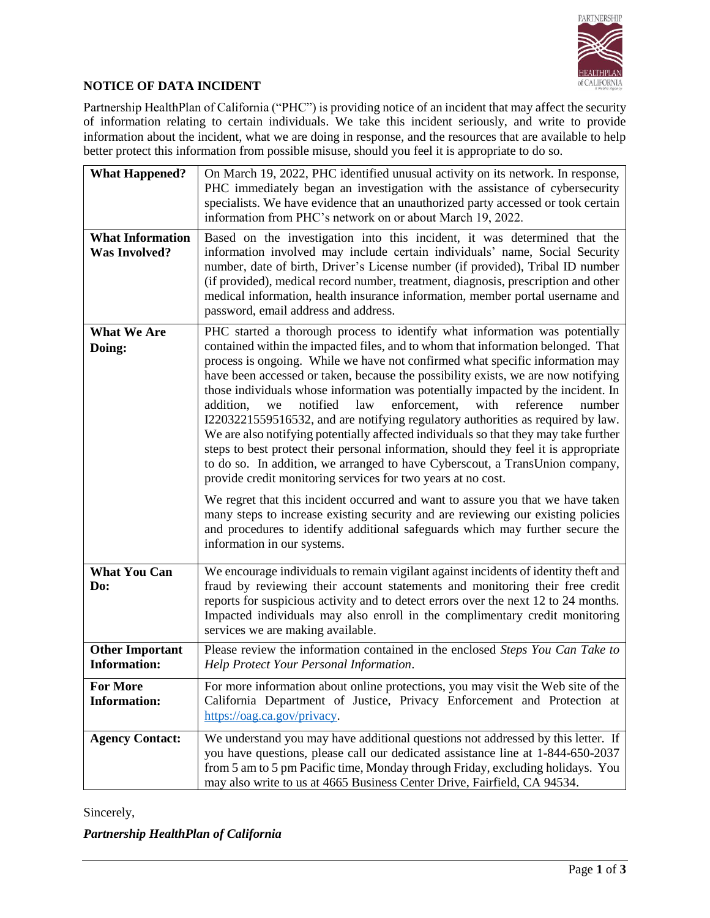

## **NOTICE OF DATA INCIDENT**

Partnership HealthPlan of California ("PHC") is providing notice of an incident that may affect the security of information relating to certain individuals. We take this incident seriously, and write to provide information about the incident, what we are doing in response, and the resources that are available to help better protect this information from possible misuse, should you feel it is appropriate to do so.

| <b>What Happened?</b>                           | On March 19, 2022, PHC identified unusual activity on its network. In response,<br>PHC immediately began an investigation with the assistance of cybersecurity<br>specialists. We have evidence that an unauthorized party accessed or took certain<br>information from PHC's network on or about March 19, 2022.                                                                                                                                                                                                                                                                                                                                                                                                                                                                                                                                                                                                                                                                                                                                                                                                                                                                                                        |
|-------------------------------------------------|--------------------------------------------------------------------------------------------------------------------------------------------------------------------------------------------------------------------------------------------------------------------------------------------------------------------------------------------------------------------------------------------------------------------------------------------------------------------------------------------------------------------------------------------------------------------------------------------------------------------------------------------------------------------------------------------------------------------------------------------------------------------------------------------------------------------------------------------------------------------------------------------------------------------------------------------------------------------------------------------------------------------------------------------------------------------------------------------------------------------------------------------------------------------------------------------------------------------------|
| <b>What Information</b><br><b>Was Involved?</b> | Based on the investigation into this incident, it was determined that the<br>information involved may include certain individuals' name, Social Security<br>number, date of birth, Driver's License number (if provided), Tribal ID number<br>(if provided), medical record number, treatment, diagnosis, prescription and other<br>medical information, health insurance information, member portal username and<br>password, email address and address.                                                                                                                                                                                                                                                                                                                                                                                                                                                                                                                                                                                                                                                                                                                                                                |
| <b>What We Are</b><br>Doing:                    | PHC started a thorough process to identify what information was potentially<br>contained within the impacted files, and to whom that information belonged. That<br>process is ongoing. While we have not confirmed what specific information may<br>have been accessed or taken, because the possibility exists, we are now notifying<br>those individuals whose information was potentially impacted by the incident. In<br>notified<br>enforcement,<br>with<br>addition,<br>law<br>reference<br>number<br>we<br>I2203221559516532, and are notifying regulatory authorities as required by law.<br>We are also notifying potentially affected individuals so that they may take further<br>steps to best protect their personal information, should they feel it is appropriate<br>to do so. In addition, we arranged to have Cyberscout, a TransUnion company,<br>provide credit monitoring services for two years at no cost.<br>We regret that this incident occurred and want to assure you that we have taken<br>many steps to increase existing security and are reviewing our existing policies<br>and procedures to identify additional safeguards which may further secure the<br>information in our systems. |
| <b>What You Can</b><br>Do:                      | We encourage individuals to remain vigilant against incidents of identity theft and<br>fraud by reviewing their account statements and monitoring their free credit<br>reports for suspicious activity and to detect errors over the next 12 to 24 months.<br>Impacted individuals may also enroll in the complimentary credit monitoring<br>services we are making available.                                                                                                                                                                                                                                                                                                                                                                                                                                                                                                                                                                                                                                                                                                                                                                                                                                           |
| <b>Other Important</b><br><b>Information:</b>   | Please review the information contained in the enclosed Steps You Can Take to<br>Help Protect Your Personal Information.                                                                                                                                                                                                                                                                                                                                                                                                                                                                                                                                                                                                                                                                                                                                                                                                                                                                                                                                                                                                                                                                                                 |
| <b>For More</b><br><b>Information:</b>          | For more information about online protections, you may visit the Web site of the<br>California Department of Justice, Privacy Enforcement and Protection at<br>https://oag.ca.gov/privacy.                                                                                                                                                                                                                                                                                                                                                                                                                                                                                                                                                                                                                                                                                                                                                                                                                                                                                                                                                                                                                               |
| <b>Agency Contact:</b>                          | We understand you may have additional questions not addressed by this letter. If<br>you have questions, please call our dedicated assistance line at 1-844-650-2037<br>from 5 am to 5 pm Pacific time, Monday through Friday, excluding holidays. You<br>may also write to us at 4665 Business Center Drive, Fairfield, CA 94534.                                                                                                                                                                                                                                                                                                                                                                                                                                                                                                                                                                                                                                                                                                                                                                                                                                                                                        |

Sincerely,

*Partnership HealthPlan of California*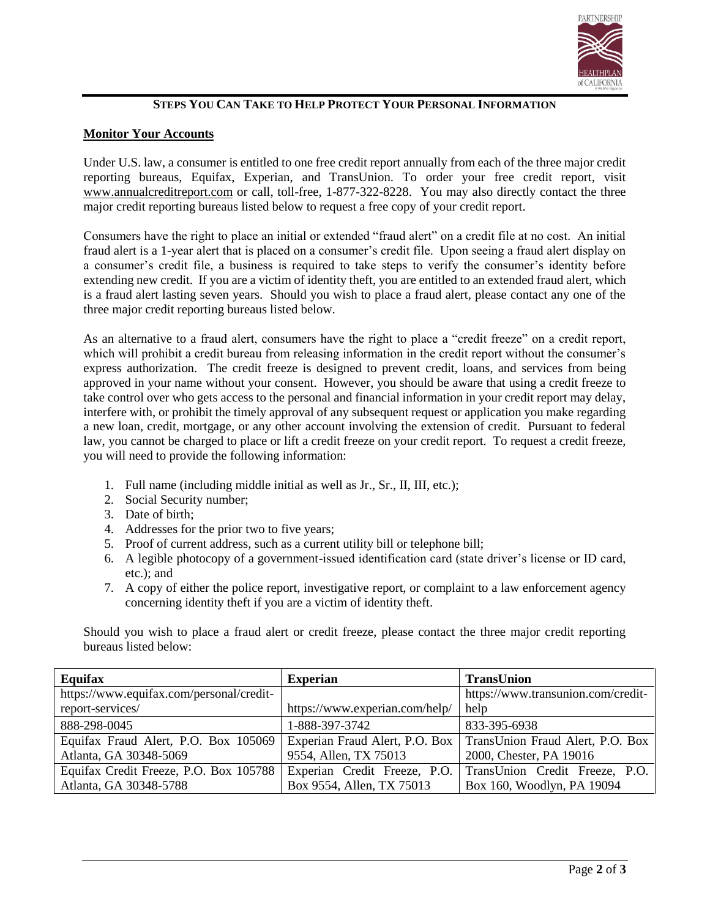

## **STEPS YOU CAN TAKE TO HELP PROTECT YOUR PERSONAL INFORMATION**

## **Monitor Your Accounts**

Under U.S. law, a consumer is entitled to one free credit report annually from each of the three major credit reporting bureaus, Equifax, Experian, and TransUnion. To order your free credit report, visit www.annualcreditreport.com or call, toll-free, 1-877-322-8228. You may also directly contact the three major credit reporting bureaus listed below to request a free copy of your credit report.

Consumers have the right to place an initial or extended "fraud alert" on a credit file at no cost. An initial fraud alert is a 1-year alert that is placed on a consumer's credit file. Upon seeing a fraud alert display on a consumer's credit file, a business is required to take steps to verify the consumer's identity before extending new credit. If you are a victim of identity theft, you are entitled to an extended fraud alert, which is a fraud alert lasting seven years. Should you wish to place a fraud alert, please contact any one of the three major credit reporting bureaus listed below.

As an alternative to a fraud alert, consumers have the right to place a "credit freeze" on a credit report, which will prohibit a credit bureau from releasing information in the credit report without the consumer's express authorization. The credit freeze is designed to prevent credit, loans, and services from being approved in your name without your consent. However, you should be aware that using a credit freeze to take control over who gets access to the personal and financial information in your credit report may delay, interfere with, or prohibit the timely approval of any subsequent request or application you make regarding a new loan, credit, mortgage, or any other account involving the extension of credit. Pursuant to federal law, you cannot be charged to place or lift a credit freeze on your credit report. To request a credit freeze, you will need to provide the following information:

- 1. Full name (including middle initial as well as Jr., Sr., II, III, etc.);
- 2. Social Security number;
- 3. Date of birth;
- 4. Addresses for the prior two to five years;
- 5. Proof of current address, such as a current utility bill or telephone bill;
- 6. A legible photocopy of a government-issued identification card (state driver's license or ID card, etc.); and
- 7. A copy of either the police report, investigative report, or complaint to a law enforcement agency concerning identity theft if you are a victim of identity theft.

Should you wish to place a fraud alert or credit freeze, please contact the three major credit reporting bureaus listed below:

| <b>Equifax</b>                           | <b>Experian</b>                | <b>TransUnion</b>                                                 |
|------------------------------------------|--------------------------------|-------------------------------------------------------------------|
| https://www.equifax.com/personal/credit- |                                | https://www.transunion.com/credit-                                |
| report-services/                         | https://www.experian.com/help/ | help                                                              |
| 888-298-0045                             | 1-888-397-3742                 | 833-395-6938                                                      |
| Equifax Fraud Alert, P.O. Box 105069     |                                | Experian Fraud Alert, P.O. Box   TransUnion Fraud Alert, P.O. Box |
| Atlanta, GA 30348-5069                   | 9554, Allen, TX 75013          | 2000, Chester, PA 19016                                           |
| Equifax Credit Freeze, P.O. Box 105788   | Experian Credit Freeze, P.O.   | TransUnion Credit Freeze, P.O.                                    |
| Atlanta, GA 30348-5788                   | Box 9554, Allen, TX 75013      | Box 160, Woodlyn, PA 19094                                        |